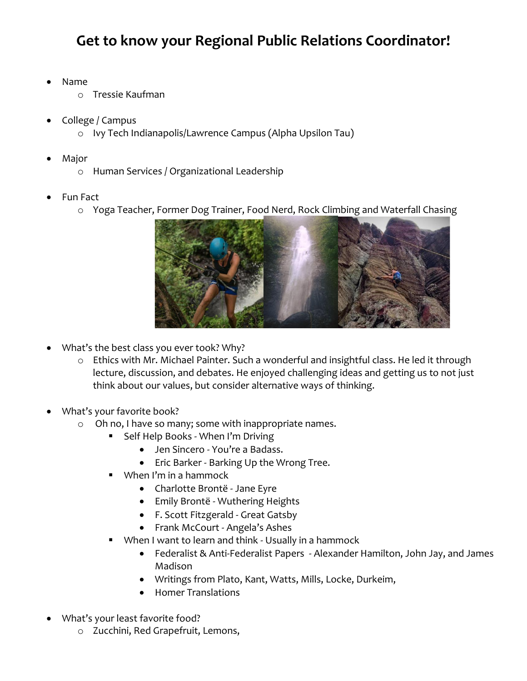## **Get to know your Regional Public Relations Coordinator!**

- Name
	- o Tressie Kaufman
- College / Campus
	- o Ivy Tech Indianapolis/Lawrence Campus (Alpha Upsilon Tau)
- Major
	- o Human Services / Organizational Leadership
- Fun Fact
	- o Yoga Teacher, Former Dog Trainer, Food Nerd, Rock Climbing and Waterfall Chasing



- What's the best class you ever took? Why?
	- o Ethics with Mr. Michael Painter. Such a wonderful and insightful class. He led it through lecture, discussion, and debates. He enjoyed challenging ideas and getting us to not just think about our values, but consider alternative ways of thinking.
- What's your favorite book?
	- o Oh no, I have so many; some with inappropriate names.
		- Self Help Books When I'm Driving
			- Jen Sincero You're a Badass.
			- Eric Barker Barking Up the Wrong Tree.
		- When I'm in a hammock
			- Charlotte Brontë Jane Eyre
			- Emily Brontë Wuthering Heights
			- F. Scott Fitzgerald Great Gatsby
			- Frank McCourt Angela's Ashes
		- When I want to learn and think Usually in a hammock
			- Federalist & Anti-Federalist Papers Alexander Hamilton, John Jay, and James Madison
			- Writings from Plato, Kant, Watts, Mills, Locke, Durkeim,
			- Homer Translations
- What's your least favorite food?
	- o Zucchini, Red Grapefruit, Lemons,